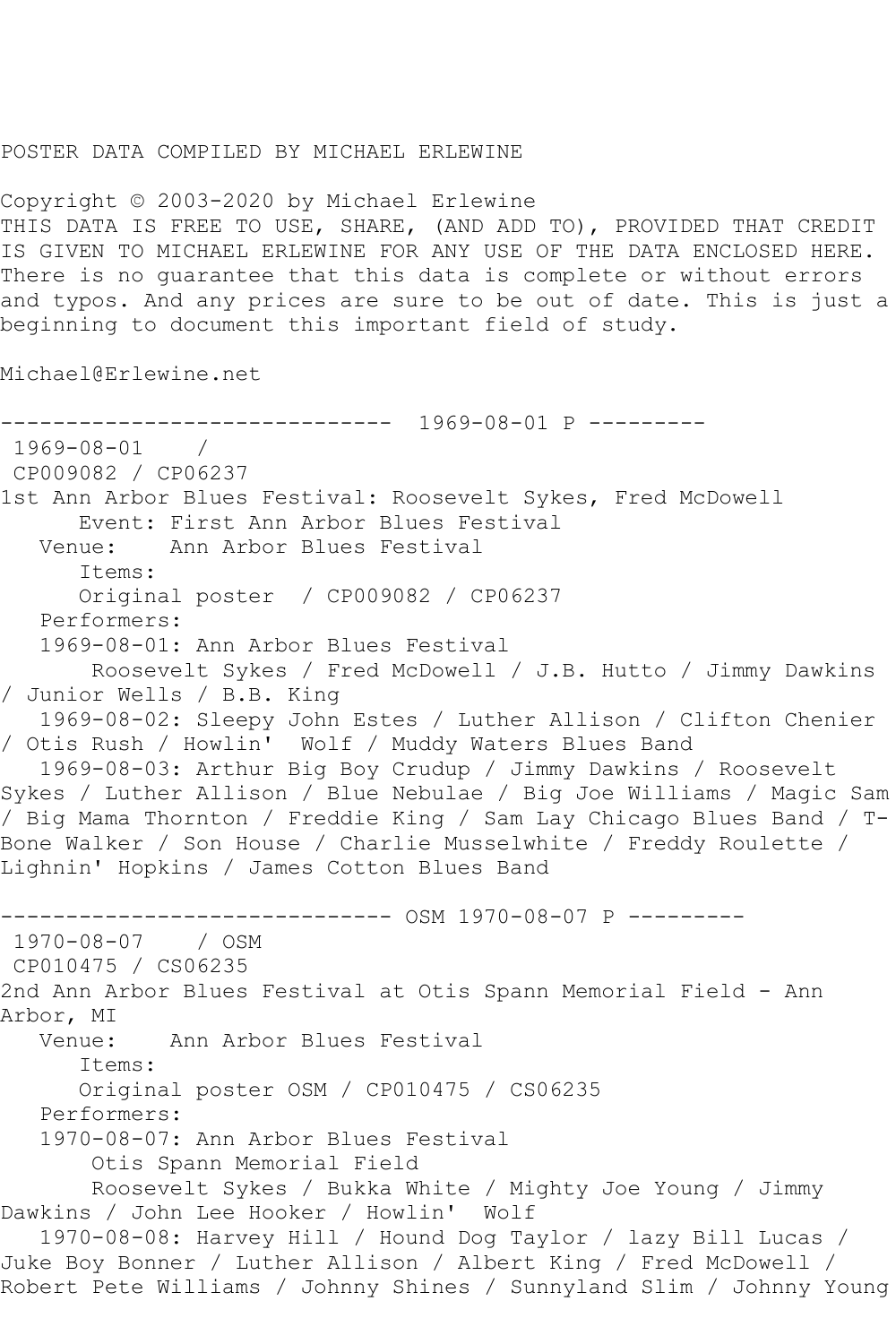## POSTER DATA COMPILED BY MICHAEL ERLEWINE

Copyright © 2003-2020 by Michael Erlewine THIS DATA IS FREE TO USE, SHARE, (AND ADD TO), PROVIDED THAT CREDIT IS GIVEN TO MICHAEL ERLEWINE FOR ANY USE OF THE DATA ENCLOSED HERE. There is no guarantee that this data is complete or without errors and typos. And any prices are sure to be out of date. This is just a beginning to document this important field of study.

Michael@Erlewine.net

```
------------------------------ 1969-08-01 P ---------
1969-08-01 / 
CP009082 / CP06237
1st Ann Arbor Blues Festival: Roosevelt Sykes, Fred McDowell
       Event: First Ann Arbor Blues Festival
   Venue: Ann Arbor Blues Festival
       Items:
       Original poster / CP009082 / CP06237
   Performers:
    1969-08-01: Ann Arbor Blues Festival
        Roosevelt Sykes / Fred McDowell / J.B. Hutto / Jimmy Dawkins 
/ Junior Wells / B.B. King
   1969-08-02: Sleepy John Estes / Luther Allison / Clifton Chenier 
/ Otis Rush / Howlin' Wolf / Muddy Waters Blues Band
   1969-08-03: Arthur Big Boy Crudup / Jimmy Dawkins / Roosevelt 
Sykes / Luther Allison / Blue Nebulae / Big Joe Williams / Magic Sam 
/ Big Mama Thornton / Freddie King / Sam Lay Chicago Blues Band / T-
Bone Walker / Son House / Charlie Musselwhite / Freddy Roulette / 
Lighnin' Hopkins / James Cotton Blues Band
                 ------------------------------ OSM 1970-08-07 P ---------
1970-08-07 / OSM 
CP010475 / CS06235
2nd Ann Arbor Blues Festival at Otis Spann Memorial Field - Ann 
Arbor, MI<br>:Venue
            Ann Arbor Blues Festival
       Items:
       Original poster OSM / CP010475 / CS06235
   Performers:
    1970-08-07: Ann Arbor Blues Festival
        Otis Spann Memorial Field
        Roosevelt Sykes / Bukka White / Mighty Joe Young / Jimmy 
Dawkins / John Lee Hooker / Howlin' Wolf
    1970-08-08: Harvey Hill / Hound Dog Taylor / lazy Bill Lucas / 
Juke Boy Bonner / Luther Allison / Albert King / Fred McDowell / 
Robert Pete Williams / Johnny Shines / Sunnyland Slim / Johnny Young
```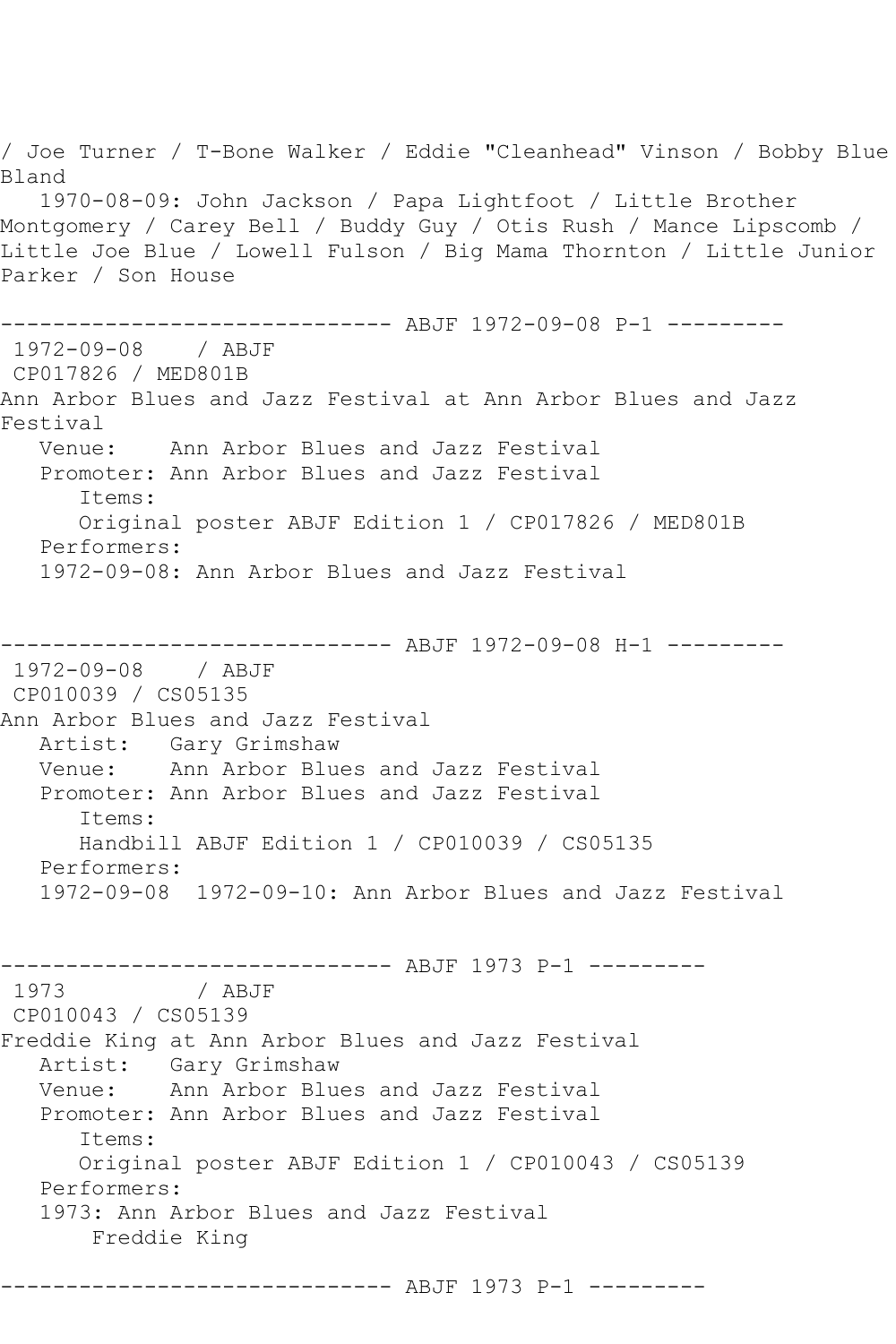/ Joe Turner / T-Bone Walker / Eddie "Cleanhead" Vinson / Bobby Blue Bland 1970-08-09: John Jackson / Papa Lightfoot / Little Brother Montgomery / Carey Bell / Buddy Guy / Otis Rush / Mance Lipscomb / Little Joe Blue / Lowell Fulson / Big Mama Thornton / Little Junior Parker / Son House ------------------------------ ABJF 1972-09-08 P-1 --------- 1972-09-08 / ABJF CP017826 / MED801B Ann Arbor Blues and Jazz Festival at Ann Arbor Blues and Jazz Festival<br>:Venue Ann Arbor Blues and Jazz Festival Promoter: Ann Arbor Blues and Jazz Festival Items: Original poster ABJF Edition 1 / CP017826 / MED801B Performers: 1972-09-08: Ann Arbor Blues and Jazz Festival ------------------------------ ABJF 1972-09-08 H-1 --------- 1972-09-08 / ABJF CP010039 / CS05135 Ann Arbor Blues and Jazz Festival Artist: Gary Grimshaw<br>Venue: Ann Arbor Blue Ann Arbor Blues and Jazz Festival Promoter: Ann Arbor Blues and Jazz Festival Items: Handbill ABJF Edition 1 / CP010039 / CS05135 Performers: 1972-09-08 1972-09-10: Ann Arbor Blues and Jazz Festival ------------------------------- ABJF 1973 P-1 ---------<br>1973 / ABJF / ABJF CP010043 / CS05139 Freddie King at Ann Arbor Blues and Jazz Festival Artist: Gary Grimshaw Venue: Ann Arbor Blues and Jazz Festival Promoter: Ann Arbor Blues and Jazz Festival Items: Original poster ABJF Edition 1 / CP010043 / CS05139 Performers: 1973: Ann Arbor Blues and Jazz Festival Freddie King ------------------------------ ABJF 1973 P-1 ---------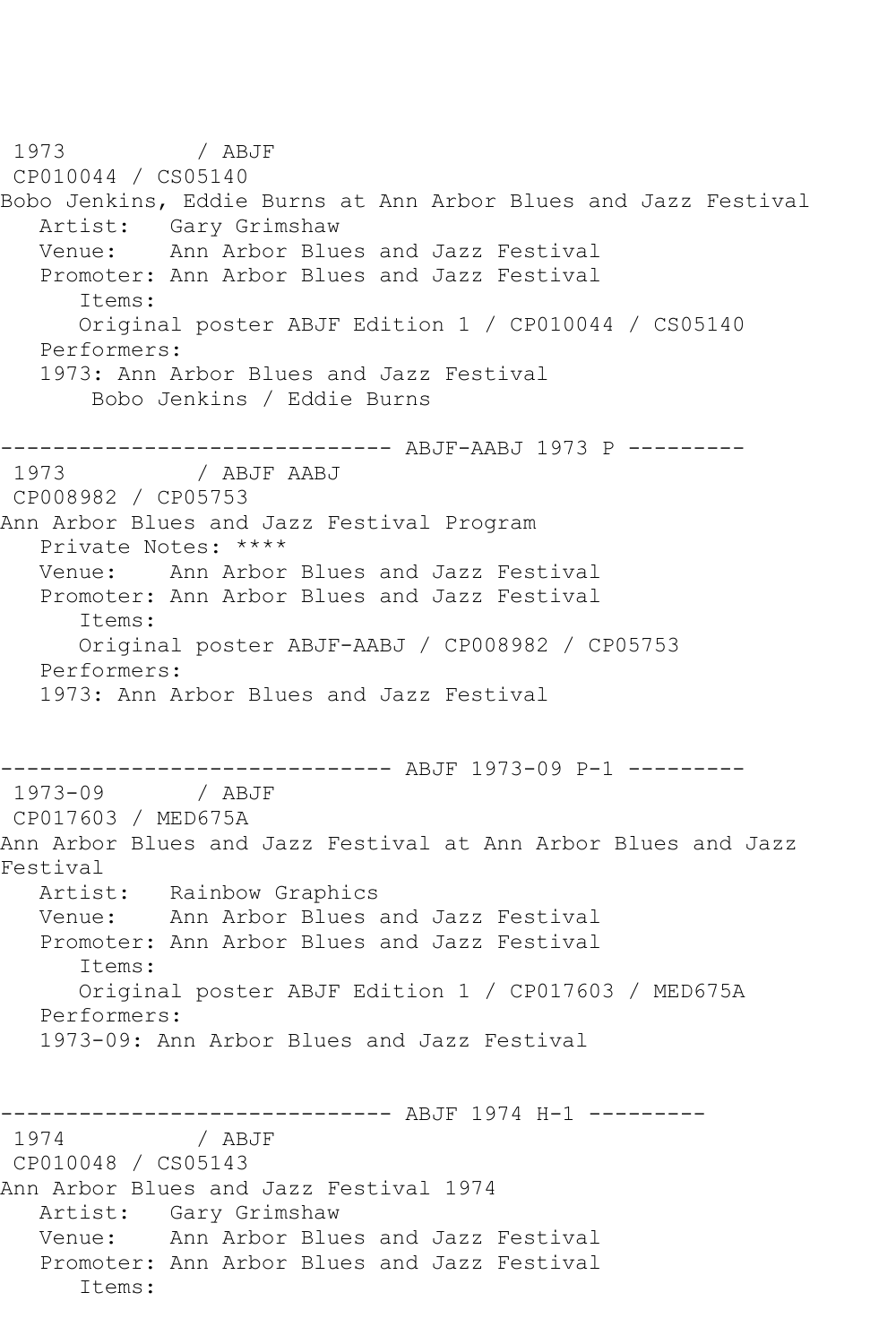1973 / ABJF CP010044 / CS05140 Bobo Jenkins, Eddie Burns at Ann Arbor Blues and Jazz Festival Artist: Gary Grimshaw<br>Venue: Ann Arbor Blue Ann Arbor Blues and Jazz Festival Promoter: Ann Arbor Blues and Jazz Festival Items: Original poster ABJF Edition 1 / CP010044 / CS05140 Performers: 1973: Ann Arbor Blues and Jazz Festival Bobo Jenkins / Eddie Burns ------------------------------ ABJF-AABJ 1973 P --------- 1973 / ABJF AABJ CP008982 / CP05753 Ann Arbor Blues and Jazz Festival Program Private Notes: \*\*\*\* Venue: Ann Arbor Blues and Jazz Festival Promoter: Ann Arbor Blues and Jazz Festival Items: Original poster ABJF-AABJ / CP008982 / CP05753 Performers: 1973: Ann Arbor Blues and Jazz Festival ------------------------------ ABJF 1973-09 P-1 --------- 1973-09 / ABJF CP017603 / MED675A Ann Arbor Blues and Jazz Festival at Ann Arbor Blues and Jazz Festival Artist: Rainbow Graphics Venue: Ann Arbor Blues and Jazz Festival Promoter: Ann Arbor Blues and Jazz Festival Items: Original poster ABJF Edition 1 / CP017603 / MED675A Performers: 1973-09: Ann Arbor Blues and Jazz Festival ------------------------------ ABJF 1974 H-1 --------- 1974 / ABJF CP010048 / CS05143 Ann Arbor Blues and Jazz Festival 1974 Artist: Gary Grimshaw Venue: Ann Arbor Blues and Jazz Festival Promoter: Ann Arbor Blues and Jazz Festival Items: